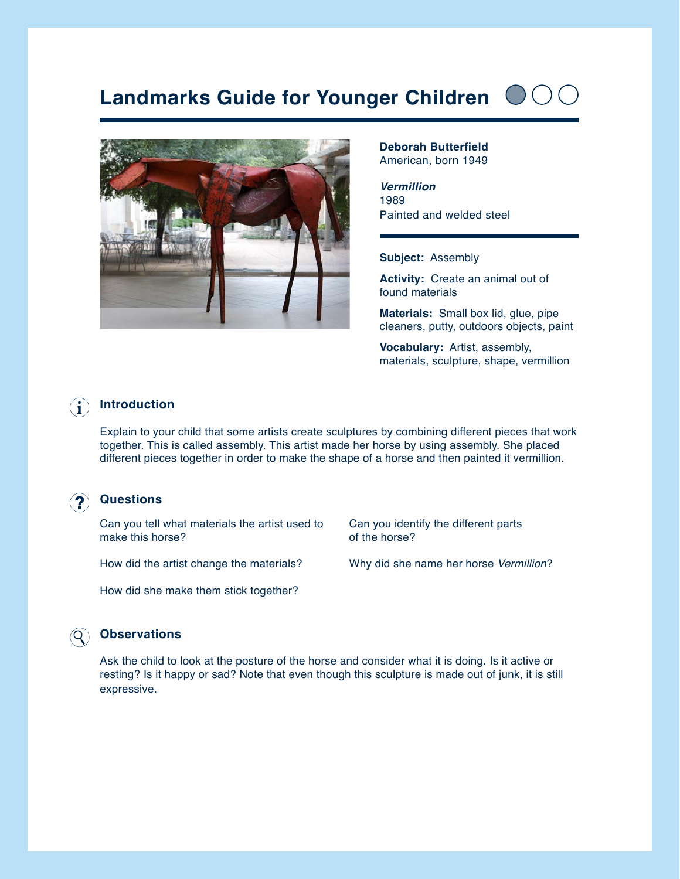# **Landmarks Guide for Younger Children**



**Deborah Butterfield**  American, born 1949

*Vermillion* 1989 Painted and welded steel

#### **Subject:** Assembly

**Activity:** Create an animal out of found materials

**Materials:** Small box lid, glue, pipe cleaners, putty, outdoors objects, paint

**Vocabulary:** Artist, assembly, materials, sculpture, shape, vermillion

#### **Introduction** H.

Explain to your child that some artists create sculptures by combining different pieces that work together. This is called assembly. This artist made her horse by using assembly. She placed different pieces together in order to make the shape of a horse and then painted it vermillion.

#### **Questions**

Can you tell what materials the artist used to make this horse?

How did the artist change the materials?

How did she make them stick together?

Can you identify the different parts of the horse?

Why did she name her horse *Vermillion*?

#### **Observations**

Ask the child to look at the posture of the horse and consider what it is doing. Is it active or resting? Is it happy or sad? Note that even though this sculpture is made out of junk, it is still expressive.